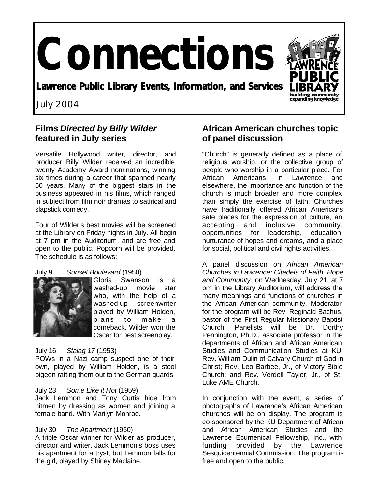# **Connections**

**Lawrence Public Library Events, Information, and Services**

# **July 2004**

# **Films** *Directed by Billy Wilder* **featured in July series**

Versatile Hollywood writer, director, and producer Billy Wilder received an incredible twenty Academy Award nominations, winning six times during a career that spanned nearly 50 years. Many of the biggest stars in the business appeared in his films, which ranged in subject from film noir dramas to satirical and slapstick comedy.

Four of Wilder's best movies will be screened at the Library on Friday nights in July. All begin at 7 pm in the Auditorium, and are free and open to the public. Popcorn will be provided. The schedule is as follows:

### July 9 *Sunset Boulevard* (1950)



Gloria Swanson is a washed-up movie star who, with the help of a washed-up screenwriter played by William Holden, plans to make a comeback. Wilder won the Oscar for best screenplay.

### July 16 *Stalag 17* (1953)

POWs in a Nazi camp suspect one of their own, played by William Holden, is a stool pigeon ratting them out to the German guards.

### July 23 *Some Like it Hot* (1959)

Jack Lemmon and Tony Curtis hide from hitmen by dressing as women and joining a female band. With Marilyn Monroe.

### July 30 *The Apartment* (1960)

A triple Oscar winner for Wilder as producer, director and writer. Jack Lemmon's boss uses his apartment for a tryst, but Lemmon falls for the girl, played by Shirley Maclaine.

# **African American churches topic of panel discussion**

"Church" is generally defined as a place of religious worship, or the collective group of people who worship in a particular place. For African Americans, in Lawrence and elsewhere, the importance and function of the church is much broader and more complex than simply the exercise of faith. Churches have traditionally offered African Americans safe places for the expression of culture, an accepting and inclusive community, opportunities for leadership, education, nurturance of hopes and dreams, and a place for social, political and civil rights activities.

A panel discussion on *African American Churches in Lawrence: Citadels of Faith, Hope and Community*, on Wednesday, July 21, at 7 pm in the Library Auditorium, will address the many meanings and functions of churches in the African American community. Moderator for the program will be Rev. Reginald Bachus, pastor of the First Regular Missionary Baptist Church. Panelists will be Dr. Dorthy Pennington, Ph.D., associate professor in the departments of African and African American Studies and Communication Studies at KU; Rev. William Dulin of Calvary Church of God in Christ; Rev. Leo Barbee, Jr., of Victory Bible Church; and Rev. Verdell Taylor, Jr., of St. Luke AME Church.

In conjunction with the event, a series of photographs of Lawrence's African American churches will be on display. The program is co-sponsored by the KU Department of African and African American Studies and the Lawrence Ecumenical Fellowship, Inc., with funding provided by the Lawrence Sesquicentennial Commission. The program is free and open to the public.

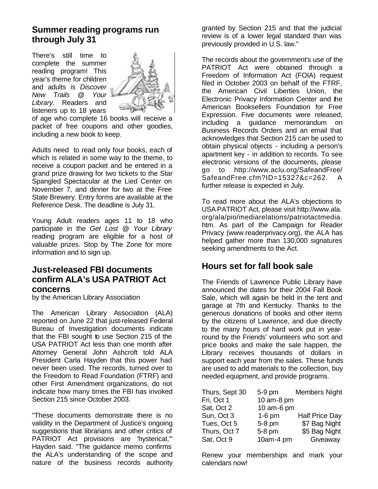### **Summer reading programs run through July 31**

There's still time to complete the summer reading program! This year's theme for children and adults is *Discover New Trails @ Your Library*. Readers and listeners up to 18 years



of age who complete 16 books will receive a packet of free coupons and other goodies, including a new book to keep.

Adults need to read only four books, each of which is related in some way to the theme, to receive a coupon packet and be entered in a grand prize drawing for two tickets to the Star Spangled Spectacular at the Lied Center on November 7, and dinner for two at the Free State Brewery. Entry forms are available at the Reference Desk. The deadline is July 31.

Young Adult readers ages 11 to 18 who participate in the *Get Lost @ Your Library* reading program are eligible for a host of valuable prizes. Stop by The Zone for more information and to sign up.

### **Just-released FBI documents confirm ALA's USA PATRIOT Act concerns**

by the American Library Association

The American Library Association (ALA) reported on June 22 that just-released Federal Bureau of Investigation documents indicate that the FBI sought to use Section 215 of the USA PATRIOT Act less than one month after Attorney General John Ashcroft told ALA President Carla Hayden that this power had never been used. The records, turned over to the Freedom to Read Foundation (FTRF) and other First Amendment organizations, do not indicate how many times the FBI has invoked Section 215 since October 2003.

"These documents demonstrate there is no validity in the Department of Justice's ongoing suggestions that librarians and other critics of PATRIOT Act provisions are 'hysterical,'" Hayden said. "The guidance memo confirms the ALA's understanding of the scope and nature of the business records authority granted by Section 215 and that the judicial review is of a lower legal standard than was previously provided in U.S. law."

The records about the government's use of the PATRIOT Act were obtained through a Freedom of Information Act (FOIA) request filed in October 2003 on behalf of the FTRF, the American Civil Liberties Union, the Electronic Privacy Information Center and the American Booksellers Foundation for Free Expression. Five documents were released, including a guidance memorandum on Business Records Orders and an email that acknowledges that Section 215 can be used to obtain physical objects - including a person's apartment key - in addition to records. To see electronic versions of the documents, please go to http://www.aclu.org/SafeandFree/ SafeandFree.cfm?ID=15327&c=262. A further release is expected in July.

To read more about the ALA's objections to USA PATRIOT Act, please visit http://www.ala. org/ala/pio/mediarelations/patriotactmedia. htm. As part of the Campaign for Reader Privacy (www.readerprivacy.org), the ALA has helped gather more than 130,000 signatures seeking amendments to the Act.

# **Hours set for fall book sale**

The Friends of Lawrence Public Library have announced the dates for their 2004 Fall Book Sale, which will again be held in the tent and garage at 7th and Kentucky. Thanks to the generous donations of books and other items by the citizens of Lawrence, and due directly to the many hours of hard work put in yearround by the Friends' volunteers who sort and price books and make the sale happen, the Library receives thousands of dollars in support each year from the sales. These funds are used to add materials to the collection, buy needed equipment, and provide programs.

| Thurs, Sept 30 | 5-9 pm     | <b>Members Night</b>  |
|----------------|------------|-----------------------|
| Fri, Oct 1     | 10 am-8 pm |                       |
| Sat, Oct 2     | 10 am-6 pm |                       |
| Sun, Oct 3     | $1-6$ pm   | <b>Half Price Day</b> |
| Tues, Oct 5    | 5-8 pm     | \$7 Bag Night         |
| Thurs, Oct 7   | 5-8 pm     | \$5 Bag Night         |
| Sat, Oct 9     | 10am-4 pm  | Giveaway              |

Renew your memberships and mark your calendars now!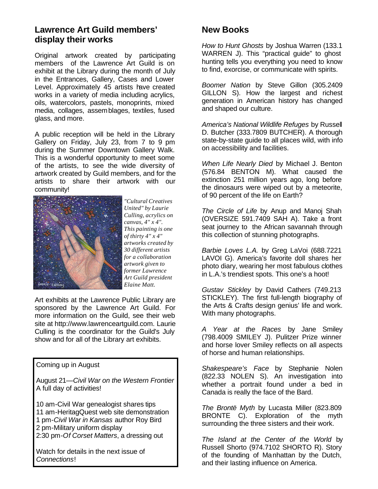### **Lawrence Art Guild members' display their works**

Original artwork created by participating members of the Lawrence Art Guild is on exhibit at the Library during the month of July in the Entrances, Gallery, Cases and Lower Level. Approximately 45 artists have created works in a variety of media including acrylics, oils, watercolors, pastels, monoprints, mixed media, collages, assemblages, textiles, fused glass, and more.

A public reception will be held in the Library Gallery on Friday, July 23, from 7 to 9 pm during the Summer Downtown Gallery Walk. This is a wonderful opportunity to meet some of the artists, to see the wide diversity of artwork created by Guild members, and for the artists to share their artwork with our community!



*"Cultural Creatives United" by Laurie Culling, acrylics on canvas, 4" x 4". This painting is one of thirty 4" x 4" artworks created by 30 different artists for a collaboration artwork given to former Lawrence Art Guild president Elaine Matt.*

Art exhibits at the Lawrence Public Library are sponsored by the Lawrence Art Guild. For more information on the Guild, see their web site at http://www.lawrenceartguild.com. Laurie Culling is the coordinator for the Guild's July show and for all of the Library art exhibits.

### Coming up in August

August 21—*Civil War on the Western Frontier* A full day of activities!

10 am-Civil War genealogist shares tips 11 am-HeritagQuest web site demonstration 1 pm-*Civil War in Kansas* author Roy Bird 2 pm-Military uniform display 2:30 pm-*Of Corset Matters*, a dressing out

Watch for details in the next issue of *Connections*!

# **New Books**

*How to Hunt Ghosts* by Joshua Warren (133.1 WARREN J). This "practical guide" to ghost hunting tells you everything you need to know to find, exorcise, or communicate with spirits.

*Boomer Nation* by Steve Gillon (305.2409 GILLON S). How the largest and richest generation in American history has changed and shaped our culture.

*America's National Wildlife Refuges* by Russell D. Butcher (333.7809 BUTCHER). A thorough state-by-state guide to all places wild, with info on accessibility and facilities.

*When Life Nearly Died* by Michael J. Benton (576.84 BENTON M). What caused the extinction 251 million years ago, long before the dinosaurs were wiped out by a meteorite, of 90 percent of the life on Earth?

*The Circle of Life* by Anup and Manoj Shah (OVERSIZE 591.7409 SAH A). Take a front seat journey to the African savannah through this collection of stunning photographs.

*Barbie Loves L.A.* by Greg LaVoi (688.7221 LAVOI G). America's favorite doll shares her photo diary, wearing her most fabulous clothes in L.A.'s trendiest spots. This one's a hoot!

*Gustav Stickley* by David Cathers (749.213 STICKLEY). The first full-length biography of the Arts & Crafts design genius' life and work. With many photographs.

*A Year at the Races* by Jane Smiley (798.4009 SMILEY J). Pulitzer Prize winner and horse lover Smiley reflects on all aspects of horse and human relationships.

*Shakespeare's Face* by Stephanie Nolen (822.33 NOLEN S). An investigation into whether a portrait found under a bed in Canada is really the face of the Bard.

*The Brontë Myth* by Lucasta Miller (823.809 BRONTE C). Exploration of the myth surrounding the three sisters and their work.

*The Island at the Center of the World* by Russell Shorto (974.7102 SHORTO R). Story of the founding of Manhattan by the Dutch, and their lasting influence on America.